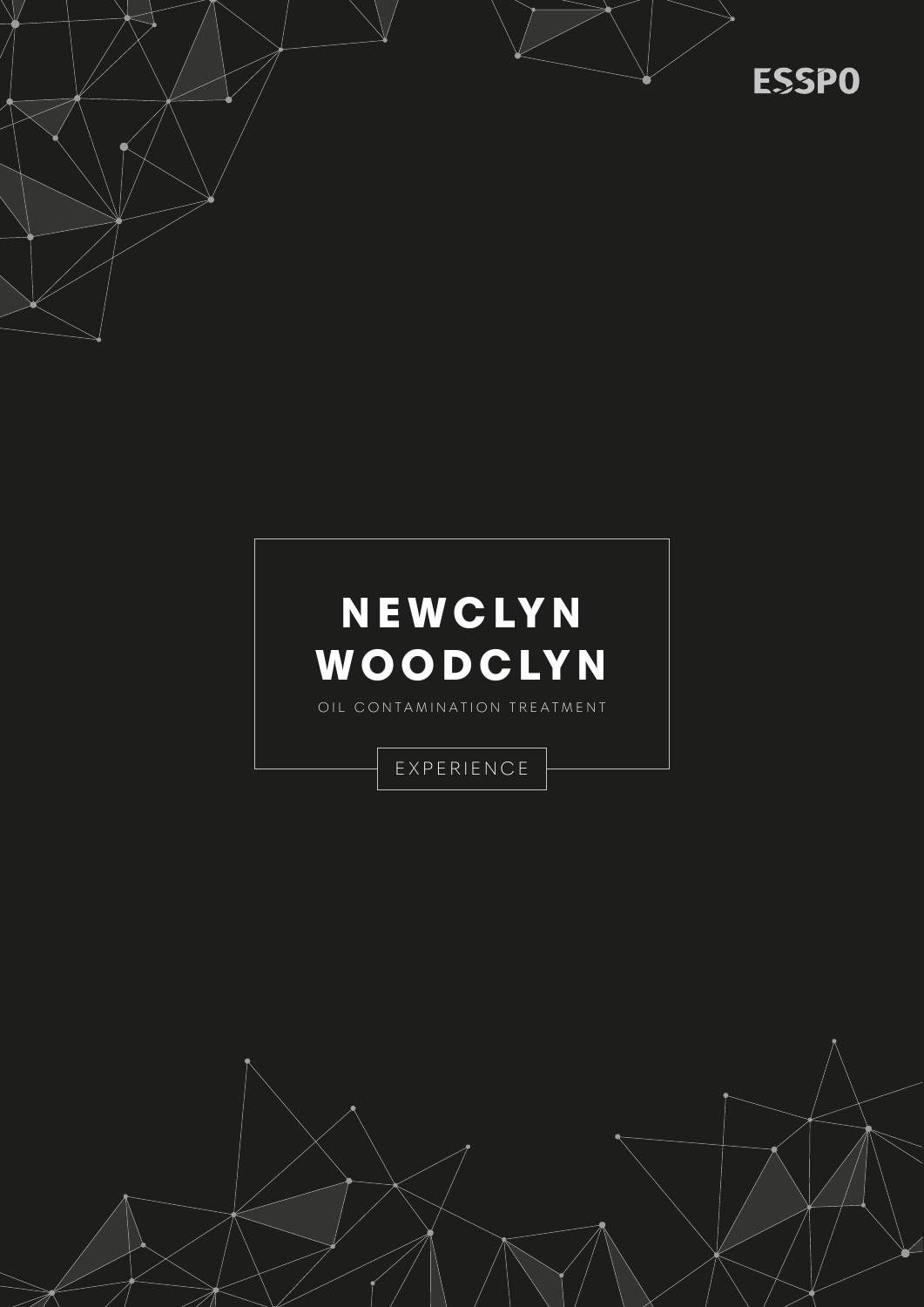



**ESSPO** 



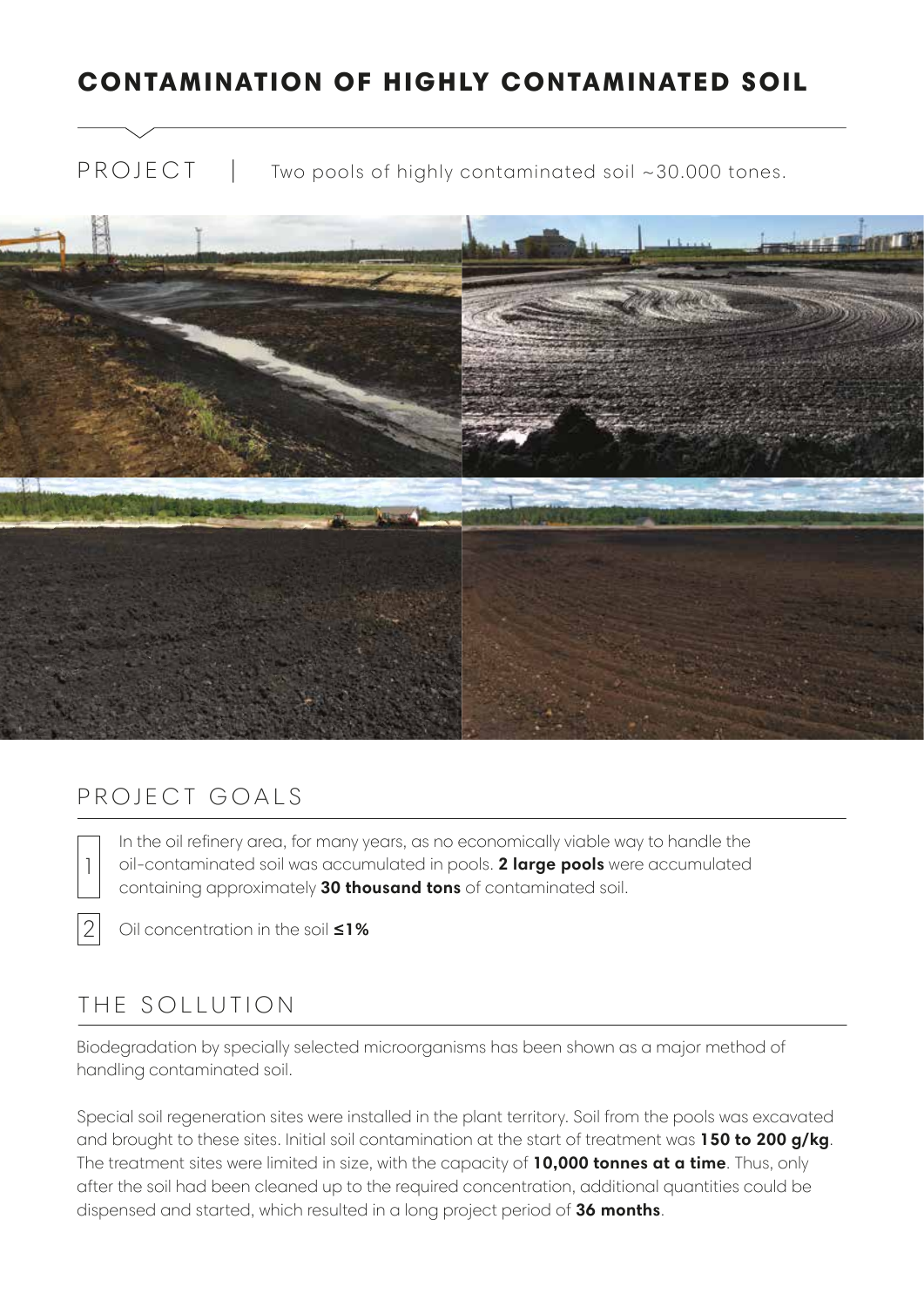## CONTAMINATION OF HIGHLY CONTAMINATED SOIL

PROJECT | Two pools of highly contaminated soil ~30.000 tones.



### PROJECT GOALS

In the oil refinery area, for many years, as no economically viable way to handle the oil-contaminated soil was accumulated in pools. **2 large pools** were accumulated containing approximately **30 thousand tons** of contaminated soil.



1

Oil concentration in the soil **≤1%**

## THE SOLLUTION

Biodegradation by specially selected microorganisms has been shown as a major method of handling contaminated soil.

Special soil regeneration sites were installed in the plant territory. Soil from the pools was excavated and brought to these sites. Initial soil contamination at the start of treatment was **150 to 200 g/kg**. The treatment sites were limited in size, with the capacity of **10,000 tonnes at a time**. Thus, only after the soil had been cleaned up to the required concentration, additional quantities could be dispensed and started, which resulted in a long project period of **36 months**.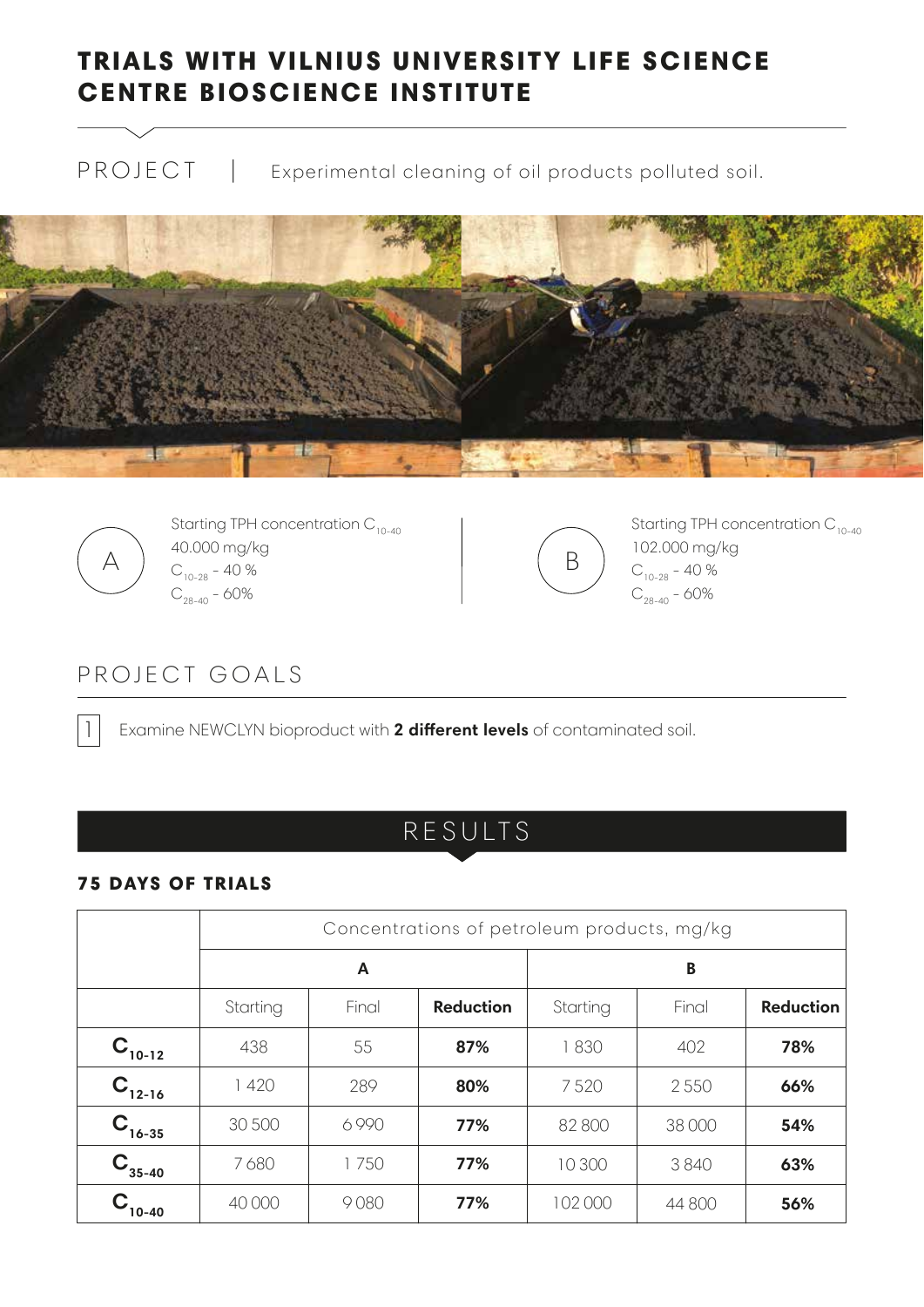## TRIALS WITH VILNIUS UNIVERSITY LIFE SCIENCE CENTRE BIOSCIENCE INSTITUTE

PROJECT | Experimental cleaning of oil products polluted soil.





Starting TPH concentration  $C_{10-40}$ 40.000 mg/kg A  $\int_{C_{10-28}}^{+0.000}$  Highley  $C_{28-40}$  - 60%



Starting TPH concentration  $C_{10-40}$ 102.000 mg/kg  $C_{10-28}$  - 40 %  $C_{28-40}$  - 60%

## PROJECT GOALS

1 Examine NEWCLYN bioproduct with **2 different levels** of contaminated soil.

## RESULTS

#### 75 DAYS OF TRIALS

|             | Concentrations of petroleum products, mg/kg |       |                  |          |        |                  |  |
|-------------|---------------------------------------------|-------|------------------|----------|--------|------------------|--|
|             | A                                           |       |                  | B        |        |                  |  |
|             | Starting                                    | Final | <b>Reduction</b> | Starting | Final  | <b>Reduction</b> |  |
| $C_{10-12}$ | 438                                         | 55    | 87%              | 1830     | 402    | 78%              |  |
| $C_{12-16}$ | 420                                         | 289   | 80%              | 7520     | 2550   | 66%              |  |
| $C_{16-35}$ | 30 500                                      | 6990  | 77%              | 82 800   | 38 000 | 54%              |  |
| $C_{35-40}$ | 7680                                        | 1750  | 77%              | 10 300   | 3840   | 63%              |  |
| $10-40$     | 40 000                                      | 9080  | 77%              | 102 000  | 44 800 | 56%              |  |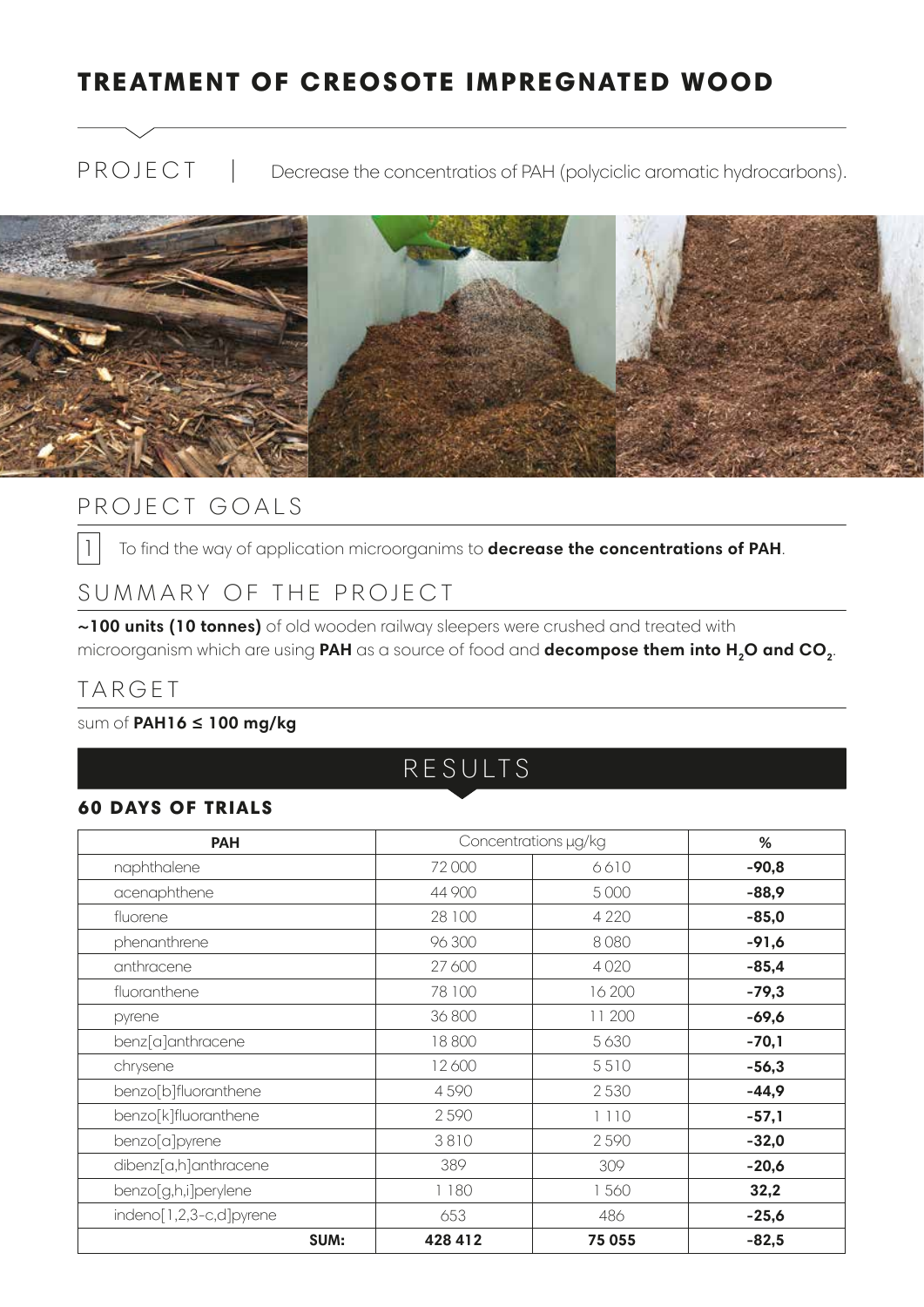## TREATMENT OF CREOSOTE IMPREGNATED WOOD

PROJECT | Decrease the concentratios of PAH (polyciclic aromatic hydrocarbons).



### PROJECT GOALS

1 To find the way of application microorganims to **decrease the concentrations of PAH**.

### SUMMARY OF THE PROJECT

**~100 units (10 tonnes)** of old wooden railway sleepers were crushed and treated with microorganism which are using PAH as a source of food and **decompose them into H<sub>2</sub>O and CO<sub>2</sub>**.

### TARGET

#### sum of **PAH16 ≤ 100 mg/kg**

RESULTS

#### 60 DAYS OF TRIALS

| <b>PAH</b>                  | Concentrations µg/kg |         | $\%$    |
|-----------------------------|----------------------|---------|---------|
| naphthalene                 | 72000                | 6610    | $-90,8$ |
| acenaphthene                | 44 900               | 5 0 0 0 | $-88,9$ |
| fluorene                    | 28 100               | 4 2 2 0 | $-85,0$ |
| phenanthrene                | 96 300               | 8080    | $-91,6$ |
| anthracene                  | 27 600               | 4020    | $-85,4$ |
| fluoranthene                | 78 100               | 16 200  | $-79,3$ |
| pyrene                      | 36 800               | 11 200  | $-69,6$ |
| benz[a]anthracene           | 18800                | 5 6 3 0 | $-70,1$ |
| chrysene                    | 12600                | 5510    | $-56,3$ |
| benzo[b]fluoranthene        | 4590                 | 2530    | $-44,9$ |
| benzo[k]fluoranthene        | 2590                 | 1110    | $-57,1$ |
| benzo <sup>[a]</sup> pyrene | 3810                 | 2590    | $-32,0$ |
| dibenz[a,h]anthracene       | 389                  | 309     | $-20,6$ |
| benzo[g,h,i]perylene        | 1180                 | 1560    | 32,2    |
| indeno[1,2,3-c,d]pyrene     | 653                  | 486     | $-25,6$ |
| SUM:                        | 428 412              | 75 055  | $-82,5$ |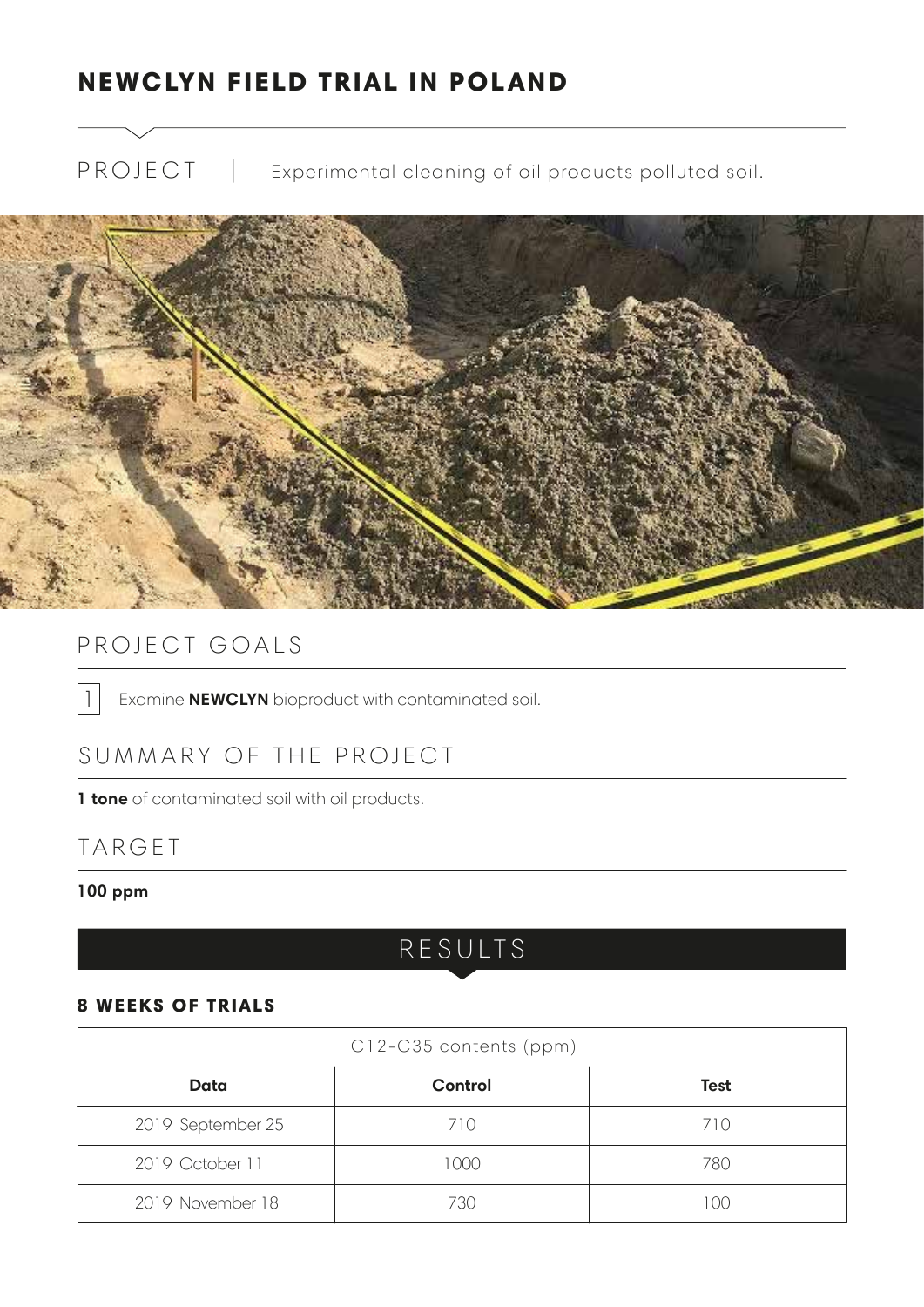## NEWCLYN FIELD TRIAL IN POLAND

PROJECT | Experimental cleaning of oil products polluted soil.



## PROJECT GOALS

1 | Examine **NEWCLYN** bioproduct with contaminated soil.

### SUMMARY OF THE PROJECT

**1 tone** of contaminated soil with oil products.

### TARGET

#### **100 ppm**

## RESULTS

#### 8 WEEKS OF TRIALS

| C12-C35 contents (ppm) |                |             |  |  |  |  |
|------------------------|----------------|-------------|--|--|--|--|
| Data                   | <b>Control</b> | <b>Test</b> |  |  |  |  |
| 2019 September 25      | 710            | 710         |  |  |  |  |
| 2019 October 11        | 1000           | 780         |  |  |  |  |
| 2019 November 18       | 730            | 100         |  |  |  |  |